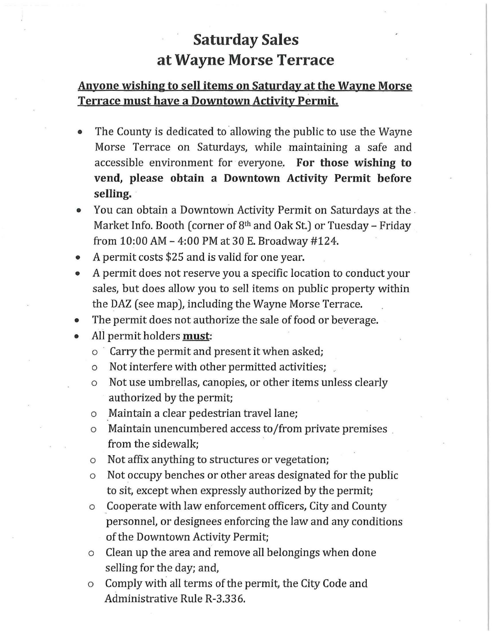## **Saturday Sales at Wayne Morse Terrace**

## **Anyone wishing to sell items on Saturday at the Wayne Morse Terrace must have a Downtown Activity Permit.**

- The County is dedicated to allowing the public to use the Wayne Morse Terrace on Saturdays, while maintaining a safe and accessible environment for everyone. **For those wishing to vend, please obtain a Downtown Activity Permit before selling.** ·
- You can obtain a Downtown Activity Permit on Saturdays at the . Market Info. Booth (corner of  $8<sup>th</sup>$  and Oak St.) or Tuesday – Friday from  $10:00$  AM  $-$  4:00 PM at 30 E. Broadway #124.
- A permit costs \$25 and is valid for one year.
- A permit does not reserve you a specific location to conduct your sales, but does allow you to sell items on public property within the DAZ (see map), including the Wayne Morse Terrace.
- The permit does not authorize the sale of food or beverage.
- All permit holders **must:** 
	- o · Carry the permit and present it when asked;
	- o Not interfere with other permitted activities;
	- o Not use umbrellas, canopies, or other items unless clearly authorized by the permit;
	- o \_Maintain a clear pedestrian travel lane;
	- o Maintain unencumbered access to/from private premises from the sidewalk;
	- o Not affix anything to structures or vegetation;
	- $\circ$  Not occupy benches or other areas designated for the public to sit, except when expressly authorized by the permit;
	- o Cooperate with law enforcement officers, City and County personnel, or designees enforcing the law and any conditions of the Downtown Activity Permit;
	- o Clean up the area and remove all belongings when done selling for the day; and,
	- o Comply with all terms of the permit, the City Code and Administrative Rule R-3.336.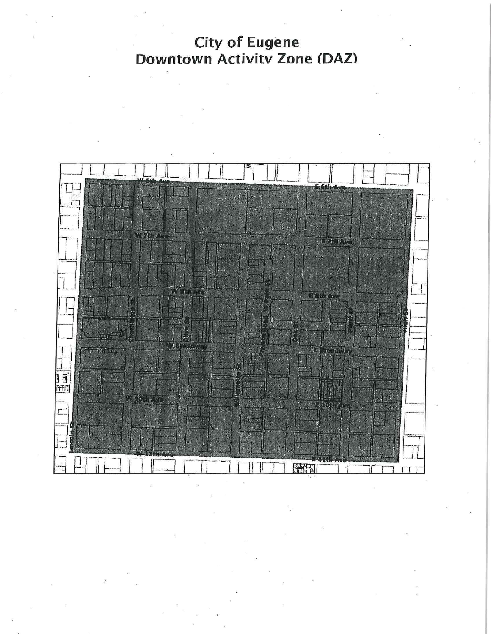City of Eugene<br>Downtown Activity Zone (DAZ)